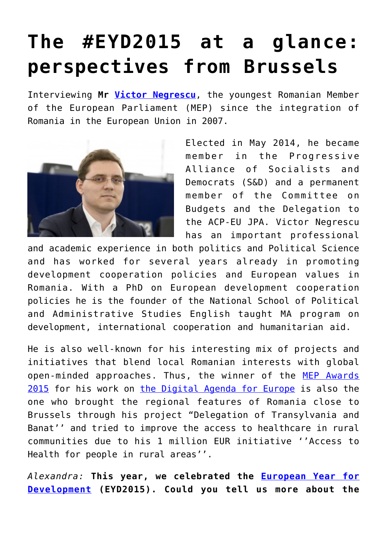## **[The #EYD2015 at a glance:](https://arcadiareview.ro/the-eyp2015-at-a-glance-perspectives-from-brussels/) [perspectives from Brussels](https://arcadiareview.ro/the-eyp2015-at-a-glance-perspectives-from-brussels/)**

Interviewing **Mr [Victor Negrescu](http://www.europarl.europa.eu/meps/en/88882/VICTOR_NEGRESCU_home.html)**, the youngest Romanian Member of the European Parliament (MEP) since the integration of Romania in the European Union in 2007.



Elected in May 2014, he became member in the Progressive Alliance of Socialists and Democrats (S&D) and a permanent member of the Committee on Budgets and the Delegation to the ACP-EU JPA. Victor Negrescu has an important professional

and academic experience in both politics and Political Science and has worked for several years already in promoting development cooperation policies and European values in Romania. With a PhD on European development cooperation policies he is the founder of the National School of Political and Administrative Studies English taught MA program on development, international cooperation and humanitarian aid.

He is also well-known for his interesting mix of projects and initiatives that blend local Romanian interests with global open-minded approaches. Thus, the winner of the [MEP Awards](http://www.mepawards.eu/2015-awards-winners) [2015](http://www.mepawards.eu/2015-awards-winners) for his work on [the Digital Agenda for Europe](http://ec.europa.eu/digital-agenda/en) is also the one who brought the regional features of Romania close to Brussels through his project "Delegation of Transylvania and Banat'' and tried to improve the access to healthcare in rural communities due to his 1 million EUR initiative ''Access to Health for people in rural areas''.

*Alexandra:* **This year, we celebrated the [European Year for](https://europa.eu/eyd2015/en) [Development](https://europa.eu/eyd2015/en) (EYD2015). Could you tell us more about the**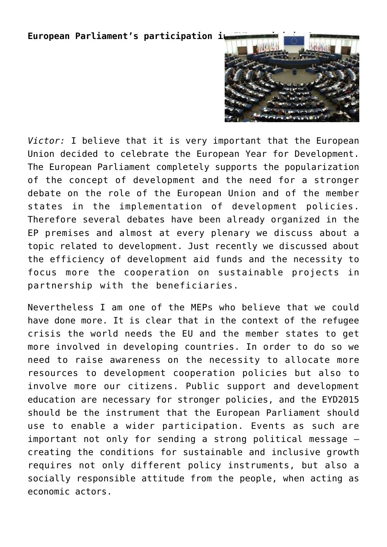## **European Parliament's participation i**



*Victor:* I believe that it is very important that the European Union decided to celebrate the European Year for Development. The European Parliament completely supports the popularization of the concept of development and the need for a stronger debate on the role of the European Union and of the member states in the implementation of development policies. Therefore several debates have been already organized in the EP premises and almost at every plenary we discuss about a topic related to development. Just recently we discussed about the efficiency of development aid funds and the necessity to focus more the cooperation on sustainable projects in partnership with the beneficiaries.

Nevertheless I am one of the MEPs who believe that we could have done more. It is clear that in the context of the refugee crisis the world needs the EU and the member states to get more involved in developing countries. In order to do so we need to raise awareness on the necessity to allocate more resources to development cooperation policies but also to involve more our citizens. Public support and development education are necessary for stronger policies, and the EYD2015 should be the instrument that the European Parliament should use to enable a wider participation. Events as such are important not only for sending a strong political message – creating the conditions for sustainable and inclusive growth requires not only different policy instruments, but also a socially responsible attitude from the people, when acting as economic actors.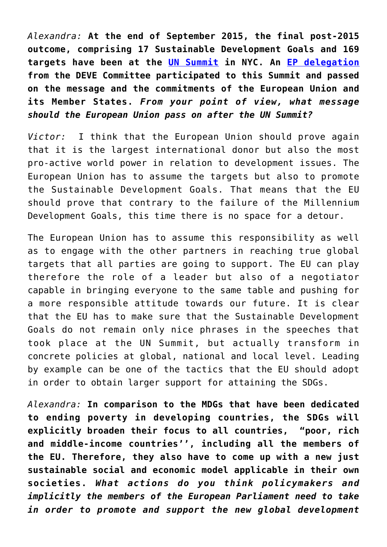*Alexandra:* **At the end of September 2015, the final post-2015 outcome, comprising 17 Sustainable Development Goals and 169 targets have been at the [UN Summit](https://sustainabledevelopment.un.org/post2015/summit) in NYC. An [EP delegation](http://www.europarl.europa.eu/committees/en/deve/home.html) from the DEVE Committee participated to this Summit and passed on the message and the commitments of the European Union and its Member States.** *From your point of view, what message should the European Union pass on after the UN Summit?*

*Victor:* I think that the European Union should prove again that it is the largest international donor but also the most pro-active world power in relation to development issues. The European Union has to assume the targets but also to promote the Sustainable Development Goals. That means that the EU should prove that contrary to the failure of the Millennium Development Goals, this time there is no space for a detour.

The European Union has to assume this responsibility as well as to engage with the other partners in reaching true global targets that all parties are going to support. The EU can play therefore the role of a leader but also of a negotiator capable in bringing everyone to the same table and pushing for a more responsible attitude towards our future. It is clear that the EU has to make sure that the Sustainable Development Goals do not remain only nice phrases in the speeches that took place at the UN Summit, but actually transform in concrete policies at global, national and local level. Leading by example can be one of the tactics that the EU should adopt in order to obtain larger support for attaining the SDGs.

*Alexandra:* **In comparison to the MDGs that have been dedicated to ending poverty in developing countries, the SDGs will explicitly broaden their focus to all countries, "poor, rich and middle-income countries'', including all the members of the EU. Therefore, they also have to come up with a new just sustainable social and economic model applicable in their own societies.** *What actions do you think policymakers and implicitly the members of the European Parliament need to take in order to promote and support the new global development*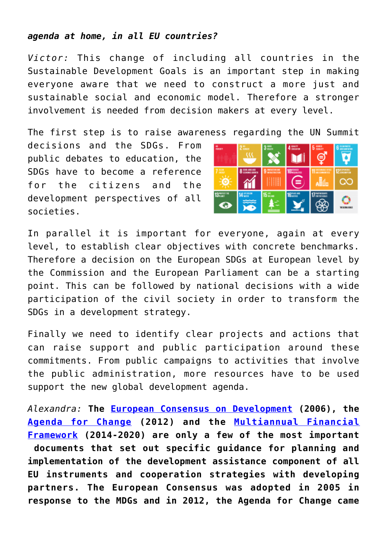## *agenda at home, in all EU countries?*

*Victor:* This change of including all countries in the Sustainable Development Goals is an important step in making everyone aware that we need to construct a more just and sustainable social and economic model. Therefore a stronger involvement is needed from decision makers at every level.

The first step is to raise awareness regarding the UN Summit

decisions and the SDGs. From public debates to education, the SDGs have to become a reference for the citizens and the development perspectives of all societies.



In parallel it is important for everyone, again at every level, to establish clear objectives with concrete benchmarks. Therefore a decision on the European SDGs at European level by the Commission and the European Parliament can be a starting point. This can be followed by national decisions with a wide participation of the civil society in order to transform the SDGs in a development strategy.

Finally we need to identify clear projects and actions that can raise support and public participation around these commitments. From public campaigns to activities that involve the public administration, more resources have to be used support the new global development agenda.

*Alexandra:* **The [European Consensus on Development](http://ec.europa.eu/development/body/development_policy_statement/docs/edp_statement_oj_24_02_2006_en.pdf) (2006), the [Agenda for Change](http://eur-lex.europa.eu/legal-content/EN/TXT/PDF/?uri=CELEX%3A52011SC1172&qid=1412922578329&from=EN) (2012) and the [Multiannual Financial](http://ec.europa.eu/budget/mff/index_en.cfm) [Framework](http://ec.europa.eu/budget/mff/index_en.cfm) (2014-2020) are only a few of the most important documents that set out specific guidance for planning and implementation of the development assistance component of all EU instruments and cooperation strategies with developing partners. The European Consensus was adopted in 2005 in response to the MDGs and in 2012, the Agenda for Change came**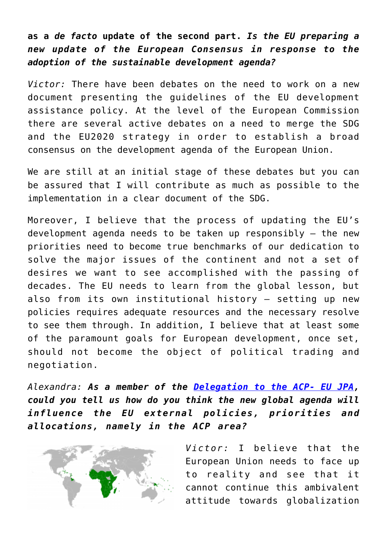**as a** *de facto* **update of the second part.** *Is the EU preparing a new update of the European Consensus in response to the adoption of the sustainable development agenda?*

*Victor:* There have been debates on the need to work on a new document presenting the guidelines of the EU development assistance policy. At the level of the European Commission there are several active debates on a need to merge the SDG and the EU2020 strategy in order to establish a broad consensus on the development agenda of the European Union.

We are still at an initial stage of these debates but you can be assured that I will contribute as much as possible to the implementation in a clear document of the SDG.

Moreover, I believe that the process of updating the EU's development agenda needs to be taken up responsibly – the new priorities need to become true benchmarks of our dedication to solve the major issues of the continent and not a set of desires we want to see accomplished with the passing of decades. The EU needs to learn from the global lesson, but also from its own institutional history – setting up new policies requires adequate resources and the necessary resolve to see them through. In addition, I believe that at least some of the paramount goals for European development, once set, should not become the object of political trading and negotiation.

*Alexandra: As a member of the [Delegation to the ACP- EU JPA,](http://www.europarl.europa.eu/delegations/en/dacp/home.html) could you tell us how do you think the new global agenda will influence the EU external policies, priorities and allocations, namely in the ACP area?*



*Victor:* I believe that the European Union needs to face up to reality and see that it cannot continue this ambivalent attitude towards globalization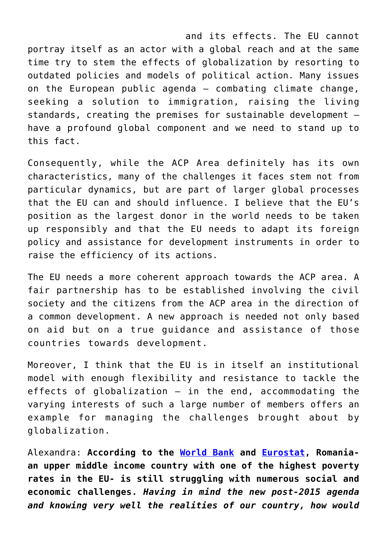and its effects. The EU cannot portray itself as an actor with a global reach and at the same time try to stem the effects of globalization by resorting to outdated policies and models of political action. Many issues on the European public agenda – combating climate change, seeking a solution to immigration, raising the living standards, creating the premises for sustainable development – have a profound global component and we need to stand up to this fact.

Consequently, while the ACP Area definitely has its own characteristics, many of the challenges it faces stem not from particular dynamics, but are part of larger global processes that the EU can and should influence. I believe that the EU's position as the largest donor in the world needs to be taken up responsibly and that the EU needs to adapt its foreign policy and assistance for development instruments in order to raise the efficiency of its actions.

The EU needs a more coherent approach towards the ACP area. A fair partnership has to be established involving the civil society and the citizens from the ACP area in the direction of a common development. A new approach is needed not only based on aid but on a true guidance and assistance of those countries towards development.

Moreover, I think that the EU is in itself an institutional model with enough flexibility and resistance to tackle the effects of globalization – in the end, accommodating the varying interests of such a large number of members offers an example for managing the challenges brought about by globalization.

Alexandra: **According to the [World Bank](http://www.worldbank.org/en/country/romania/overview) and [Eurostat](http://ec.europa.eu/eurostat/documents/2995521/6035076/3-04112014-BP-EN.pdf/62f94e70-e43a-471f-a466-2e84d1029860), Romaniaan upper middle income country with one of the highest poverty rates in the EU- is still struggling with numerous social and economic challenges.** *Having in mind the new post-2015 agenda and knowing very well the realities of our country, how would*